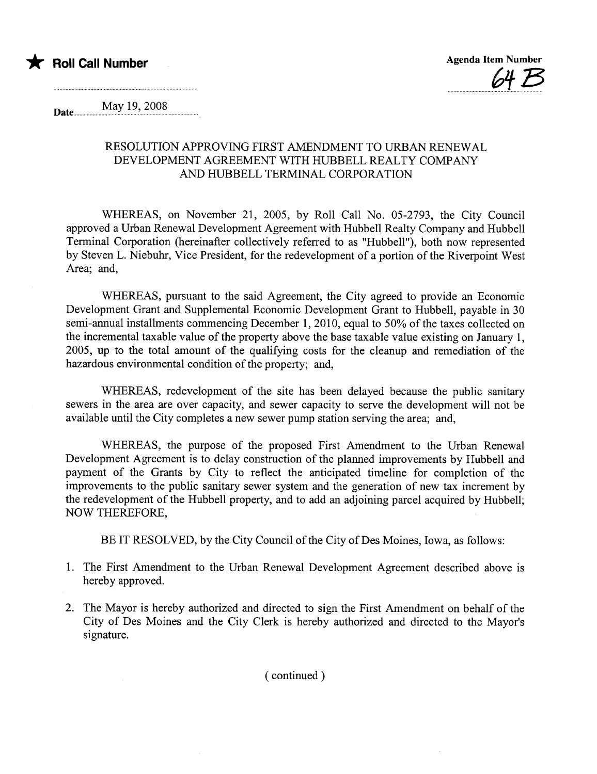

May 19, 2008 Date.............. .....................................................

## RESOLUTION APPROVING FIRST AMENDMENT TO URBAN RENEWAL DEVELOPMENT AGREEMENT WITH HUBBELL REALTY COMPANY AND HUBBELL TERMINAL CORPORATION

WHEREAS, on November 21, 2005, by Roll Call No. 05-2793, the City Council approved a Urban Renewal Development Agreement with Hubbell Realty Company and Hubbell Terminal Corporation (hereinafter collectively referred to as "Hubbell"), both now represented by Steven L. Niebuh, Vice President, for the redevelopment of a portion of the Riverpoint West Area; and,

WHEREAS, pursuant to the said Agreement, the City agreed to provide an Economic Development Grant and Supplemental Economic Development Grant to Hubbell, payable in 30 semi-annual installments commencing December 1,2010, equal to 50% of the taxes collected on the incremental taxable value of the property above the base taxable value existing on January 1, 2005, up to the total amount of the qualifying costs for the cleanup and remediation of the hazardous environmental condition of the property; and,

WHEREAS, redevelopment of the site has been delayed because the public sanitary sewers in the area are over capacity, and sewer capacity to serve the development will not be available until the City completes a new sewer pump station serving the area; and,

WHEREAS, the purpose of the proposed First Amendment to the Urban Renewal Development Agreement is to delay construction of the planned improvements by Hubbell and payment of the Grants by City to reflect the anticipated timeline for completion of the improvements to the public sanitary sewer system and the generation of new tax increment by the redevelopment of the Hubbell property, and to add an adjoining parcel acquired by Hubbell; NOW THEREFORE,

BE IT RESOLVED, by the City Council of the City of Des Moines, Iowa, as follows:

- 1. The First Amendment to the Urban Renewal Development Agreement described above is hereby approved.
- 2. The Mayor is hereby authorized and directed to sign the First Amendment on behalf of the City of Des Moines and the City Clerk is hereby authorized and directed to the Mayor's signature.

( continued)